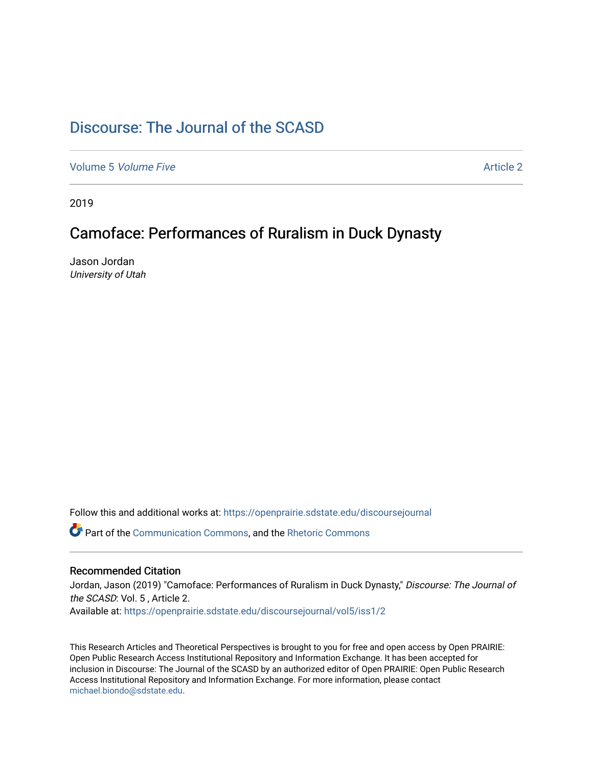# [Discourse: The Journal of the SCASD](https://openprairie.sdstate.edu/discoursejournal)

[Volume 5](https://openprairie.sdstate.edu/discoursejournal/vol5) Volume Five Article 2

2019

## Camoface: Performances of Ruralism in Duck Dynasty

Jason Jordan University of Utah

Follow this and additional works at: [https://openprairie.sdstate.edu/discoursejournal](https://openprairie.sdstate.edu/discoursejournal?utm_source=openprairie.sdstate.edu%2Fdiscoursejournal%2Fvol5%2Fiss1%2F2&utm_medium=PDF&utm_campaign=PDFCoverPages) 

Part of the [Communication Commons,](http://network.bepress.com/hgg/discipline/325?utm_source=openprairie.sdstate.edu%2Fdiscoursejournal%2Fvol5%2Fiss1%2F2&utm_medium=PDF&utm_campaign=PDFCoverPages) and the [Rhetoric Commons](http://network.bepress.com/hgg/discipline/575?utm_source=openprairie.sdstate.edu%2Fdiscoursejournal%2Fvol5%2Fiss1%2F2&utm_medium=PDF&utm_campaign=PDFCoverPages)

#### Recommended Citation

Jordan, Jason (2019) "Camoface: Performances of Ruralism in Duck Dynasty," Discourse: The Journal of the SCASD: Vol. 5 , Article 2.

Available at: [https://openprairie.sdstate.edu/discoursejournal/vol5/iss1/2](https://openprairie.sdstate.edu/discoursejournal/vol5/iss1/2?utm_source=openprairie.sdstate.edu%2Fdiscoursejournal%2Fvol5%2Fiss1%2F2&utm_medium=PDF&utm_campaign=PDFCoverPages)

This Research Articles and Theoretical Perspectives is brought to you for free and open access by Open PRAIRIE: Open Public Research Access Institutional Repository and Information Exchange. It has been accepted for inclusion in Discourse: The Journal of the SCASD by an authorized editor of Open PRAIRIE: Open Public Research Access Institutional Repository and Information Exchange. For more information, please contact [michael.biondo@sdstate.edu.](mailto:michael.biondo@sdstate.edu)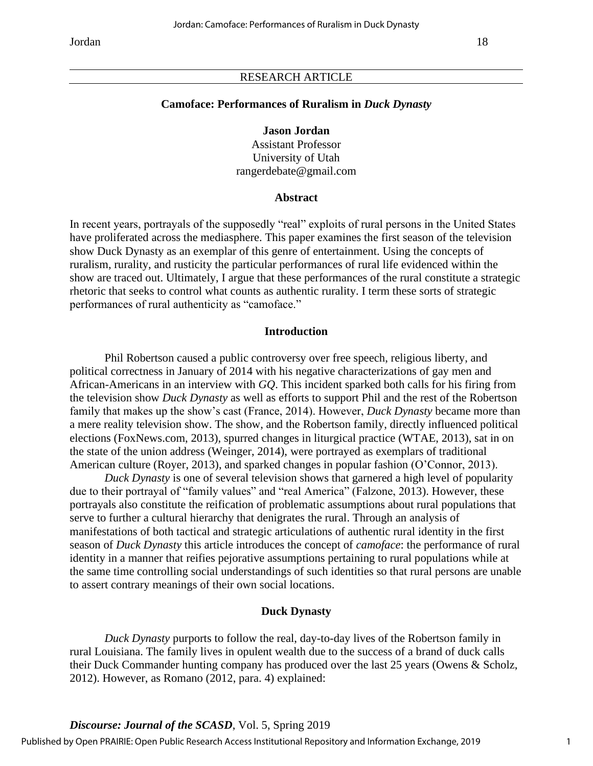#### RESEARCH ARTICLE

#### **Camoface: Performances of Ruralism in** *Duck Dynasty*

#### **Jason Jordan**

Assistant Professor University of Utah rangerdebate@gmail.com

## **Abstract**

In recent years, portrayals of the supposedly "real" exploits of rural persons in the United States have proliferated across the mediasphere. This paper examines the first season of the television show Duck Dynasty as an exemplar of this genre of entertainment. Using the concepts of ruralism, rurality, and rusticity the particular performances of rural life evidenced within the show are traced out. Ultimately, I argue that these performances of the rural constitute a strategic rhetoric that seeks to control what counts as authentic rurality. I term these sorts of strategic performances of rural authenticity as "camoface."

#### **Introduction**

Phil Robertson caused a public controversy over free speech, religious liberty, and political correctness in January of 2014 with his negative characterizations of gay men and African-Americans in an interview with *GQ*. This incident sparked both calls for his firing from the television show *Duck Dynasty* as well as efforts to support Phil and the rest of the Robertson family that makes up the show's cast (France, 2014). However, *Duck Dynasty* became more than a mere reality television show. The show, and the Robertson family, directly influenced political elections (FoxNews.com, 2013), spurred changes in liturgical practice (WTAE, 2013), sat in on the state of the union address (Weinger, 2014), were portrayed as exemplars of traditional American culture (Royer, 2013), and sparked changes in popular fashion (O'Connor, 2013).

*Duck Dynasty* is one of several television shows that garnered a high level of popularity due to their portrayal of "family values" and "real America" (Falzone, 2013). However, these portrayals also constitute the reification of problematic assumptions about rural populations that serve to further a cultural hierarchy that denigrates the rural. Through an analysis of manifestations of both tactical and strategic articulations of authentic rural identity in the first season of *Duck Dynasty* this article introduces the concept of *camoface*: the performance of rural identity in a manner that reifies pejorative assumptions pertaining to rural populations while at the same time controlling social understandings of such identities so that rural persons are unable to assert contrary meanings of their own social locations.

## **Duck Dynasty**

*Duck Dynasty* purports to follow the real, day-to-day lives of the Robertson family in rural Louisiana. The family lives in opulent wealth due to the success of a brand of duck calls their Duck Commander hunting company has produced over the last 25 years (Owens & Scholz, 2012). However, as Romano (2012, para. 4) explained: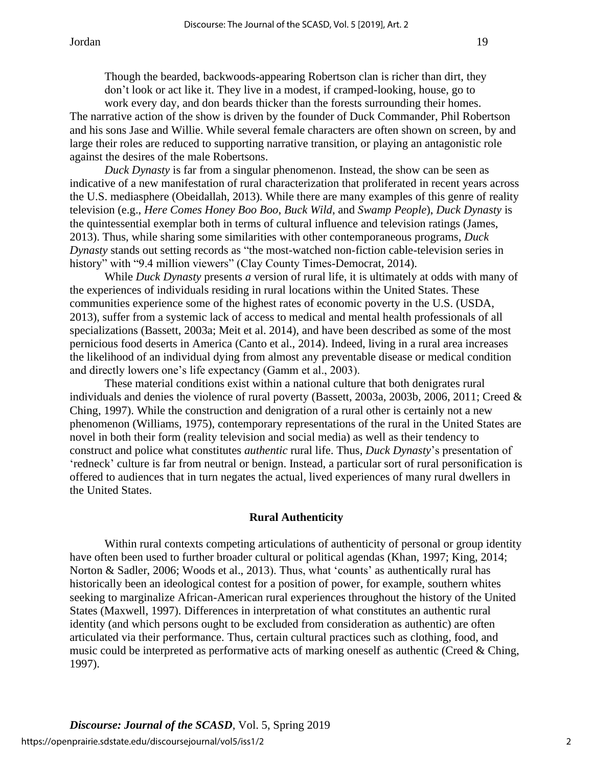Though the bearded, backwoods-appearing Robertson clan is richer than dirt, they don't look or act like it. They live in a modest, if cramped-looking, house, go to work every day, and don beards thicker than the forests surrounding their homes.

The narrative action of the show is driven by the founder of Duck Commander, Phil Robertson and his sons Jase and Willie. While several female characters are often shown on screen, by and large their roles are reduced to supporting narrative transition, or playing an antagonistic role against the desires of the male Robertsons.

*Duck Dynasty* is far from a singular phenomenon. Instead, the show can be seen as indicative of a new manifestation of rural characterization that proliferated in recent years across the U.S. mediasphere (Obeidallah, 2013). While there are many examples of this genre of reality television (e.g., *Here Comes Honey Boo Boo*, *Buck Wild*, and *Swamp People*), *Duck Dynasty* is the quintessential exemplar both in terms of cultural influence and television ratings (James, 2013). Thus, while sharing some similarities with other contemporaneous programs, *Duck Dynasty* stands out setting records as "the most-watched non-fiction cable-television series in history" with "9.4 million viewers" (Clay County Times-Democrat, 2014).

While *Duck Dynasty* presents *a* version of rural life, it is ultimately at odds with many of the experiences of individuals residing in rural locations within the United States. These communities experience some of the highest rates of economic poverty in the U.S. (USDA, 2013), suffer from a systemic lack of access to medical and mental health professionals of all specializations (Bassett, 2003a; Meit et al. 2014), and have been described as some of the most pernicious food deserts in America (Canto et al., 2014). Indeed, living in a rural area increases the likelihood of an individual dying from almost any preventable disease or medical condition and directly lowers one's life expectancy (Gamm et al., 2003).

These material conditions exist within a national culture that both denigrates rural individuals and denies the violence of rural poverty (Bassett, 2003a, 2003b, 2006, 2011; Creed & Ching, 1997). While the construction and denigration of a rural other is certainly not a new phenomenon (Williams, 1975), contemporary representations of the rural in the United States are novel in both their form (reality television and social media) as well as their tendency to construct and police what constitutes *authentic* rural life. Thus, *Duck Dynasty*'s presentation of 'redneck' culture is far from neutral or benign. Instead, a particular sort of rural personification is offered to audiences that in turn negates the actual, lived experiences of many rural dwellers in the United States.

## **Rural Authenticity**

Within rural contexts competing articulations of authenticity of personal or group identity have often been used to further broader cultural or political agendas (Khan, 1997; King, 2014; Norton & Sadler, 2006; Woods et al., 2013). Thus, what 'counts' as authentically rural has historically been an ideological contest for a position of power, for example, southern whites seeking to marginalize African-American rural experiences throughout the history of the United States (Maxwell, 1997). Differences in interpretation of what constitutes an authentic rural identity (and which persons ought to be excluded from consideration as authentic) are often articulated via their performance. Thus, certain cultural practices such as clothing, food, and music could be interpreted as performative acts of marking oneself as authentic (Creed & Ching, 1997).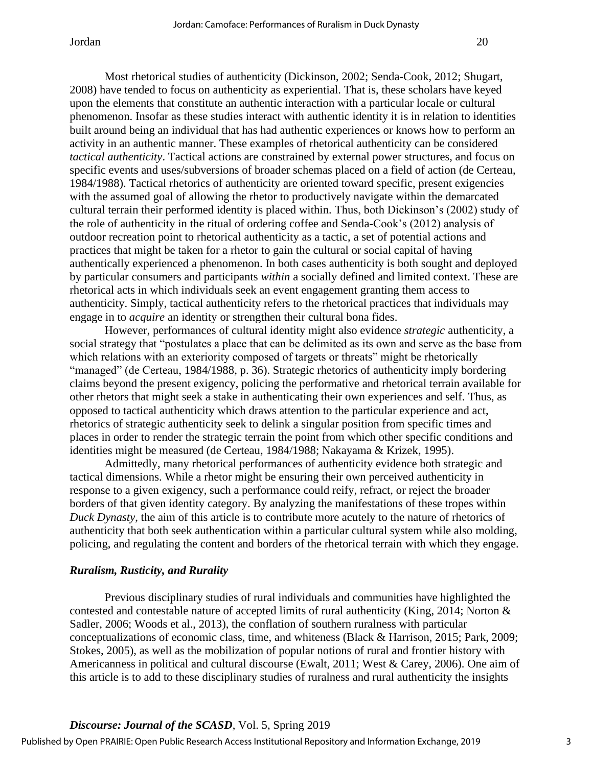Most rhetorical studies of authenticity (Dickinson, 2002; Senda-Cook, 2012; Shugart, 2008) have tended to focus on authenticity as experiential. That is, these scholars have keyed upon the elements that constitute an authentic interaction with a particular locale or cultural phenomenon. Insofar as these studies interact with authentic identity it is in relation to identities built around being an individual that has had authentic experiences or knows how to perform an activity in an authentic manner. These examples of rhetorical authenticity can be considered *tactical authenticity*. Tactical actions are constrained by external power structures, and focus on specific events and uses/subversions of broader schemas placed on a field of action (de Certeau, 1984/1988). Tactical rhetorics of authenticity are oriented toward specific, present exigencies with the assumed goal of allowing the rhetor to productively navigate within the demarcated cultural terrain their performed identity is placed within. Thus, both Dickinson's (2002) study of the role of authenticity in the ritual of ordering coffee and Senda-Cook's (2012) analysis of outdoor recreation point to rhetorical authenticity as a tactic, a set of potential actions and practices that might be taken for a rhetor to gain the cultural or social capital of having authentically experienced a phenomenon. In both cases authenticity is both sought and deployed by particular consumers and participants *within* a socially defined and limited context. These are rhetorical acts in which individuals seek an event engagement granting them access to authenticity. Simply, tactical authenticity refers to the rhetorical practices that individuals may engage in to *acquire* an identity or strengthen their cultural bona fides.

However, performances of cultural identity might also evidence *strategic* authenticity, a social strategy that "postulates a place that can be delimited as its own and serve as the base from which relations with an exteriority composed of targets or threats" might be rhetorically "managed" (de Certeau, 1984/1988, p. 36). Strategic rhetorics of authenticity imply bordering claims beyond the present exigency, policing the performative and rhetorical terrain available for other rhetors that might seek a stake in authenticating their own experiences and self. Thus, as opposed to tactical authenticity which draws attention to the particular experience and act, rhetorics of strategic authenticity seek to delink a singular position from specific times and places in order to render the strategic terrain the point from which other specific conditions and identities might be measured (de Certeau, 1984/1988; Nakayama & Krizek, 1995).

Admittedly, many rhetorical performances of authenticity evidence both strategic and tactical dimensions. While a rhetor might be ensuring their own perceived authenticity in response to a given exigency, such a performance could reify, refract, or reject the broader borders of that given identity category. By analyzing the manifestations of these tropes within *Duck Dynasty*, the aim of this article is to contribute more acutely to the nature of rhetorics of authenticity that both seek authentication within a particular cultural system while also molding, policing, and regulating the content and borders of the rhetorical terrain with which they engage.

## *Ruralism, Rusticity, and Rurality*

Previous disciplinary studies of rural individuals and communities have highlighted the contested and contestable nature of accepted limits of rural authenticity (King, 2014; Norton & Sadler, 2006; Woods et al., 2013), the conflation of southern ruralness with particular conceptualizations of economic class, time, and whiteness (Black & Harrison, 2015; Park, 2009; Stokes, 2005), as well as the mobilization of popular notions of rural and frontier history with Americanness in political and cultural discourse (Ewalt, 2011; West & Carey, 2006). One aim of this article is to add to these disciplinary studies of ruralness and rural authenticity the insights

## *Discourse: Journal of the SCASD*, Vol. 5, Spring 2019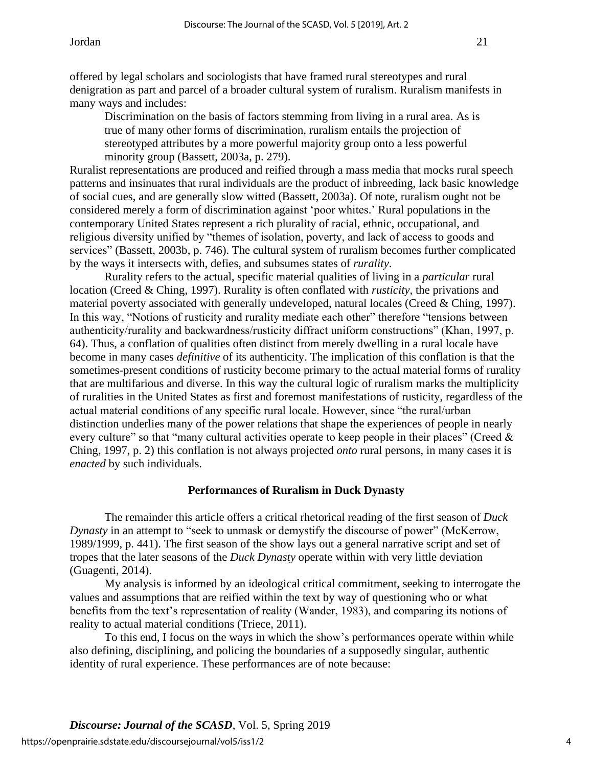Discrimination on the basis of factors stemming from living in a rural area. As is true of many other forms of discrimination, ruralism entails the projection of stereotyped attributes by a more powerful majority group onto a less powerful minority group (Bassett, 2003a, p. 279).

Ruralist representations are produced and reified through a mass media that mocks rural speech patterns and insinuates that rural individuals are the product of inbreeding, lack basic knowledge of social cues, and are generally slow witted (Bassett, 2003a). Of note, ruralism ought not be considered merely a form of discrimination against 'poor whites.' Rural populations in the contemporary United States represent a rich plurality of racial, ethnic, occupational, and religious diversity unified by "themes of isolation, poverty, and lack of access to goods and services" (Bassett, 2003b, p. 746). The cultural system of ruralism becomes further complicated by the ways it intersects with, defies, and subsumes states of *rurality*.

Rurality refers to the actual, specific material qualities of living in a *particular* rural location (Creed & Ching, 1997). Rurality is often conflated with *rusticity*, the privations and material poverty associated with generally undeveloped, natural locales (Creed & Ching, 1997). In this way, "Notions of rusticity and rurality mediate each other" therefore "tensions between authenticity/rurality and backwardness/rusticity diffract uniform constructions" (Khan, 1997, p. 64). Thus, a conflation of qualities often distinct from merely dwelling in a rural locale have become in many cases *definitive* of its authenticity. The implication of this conflation is that the sometimes-present conditions of rusticity become primary to the actual material forms of rurality that are multifarious and diverse. In this way the cultural logic of ruralism marks the multiplicity of ruralities in the United States as first and foremost manifestations of rusticity, regardless of the actual material conditions of any specific rural locale. However, since "the rural/urban distinction underlies many of the power relations that shape the experiences of people in nearly every culture" so that "many cultural activities operate to keep people in their places" (Creed & Ching, 1997, p. 2) this conflation is not always projected *onto* rural persons, in many cases it is *enacted* by such individuals.

## **Performances of Ruralism in Duck Dynasty**

The remainder this article offers a critical rhetorical reading of the first season of *Duck Dynasty* in an attempt to "seek to unmask or demystify the discourse of power" (McKerrow, 1989/1999, p. 441). The first season of the show lays out a general narrative script and set of tropes that the later seasons of the *Duck Dynasty* operate within with very little deviation (Guagenti, 2014).

My analysis is informed by an ideological critical commitment, seeking to interrogate the values and assumptions that are reified within the text by way of questioning who or what benefits from the text's representation of reality (Wander, 1983), and comparing its notions of reality to actual material conditions (Triece, 2011).

To this end, I focus on the ways in which the show's performances operate within while also defining, disciplining, and policing the boundaries of a supposedly singular, authentic identity of rural experience. These performances are of note because: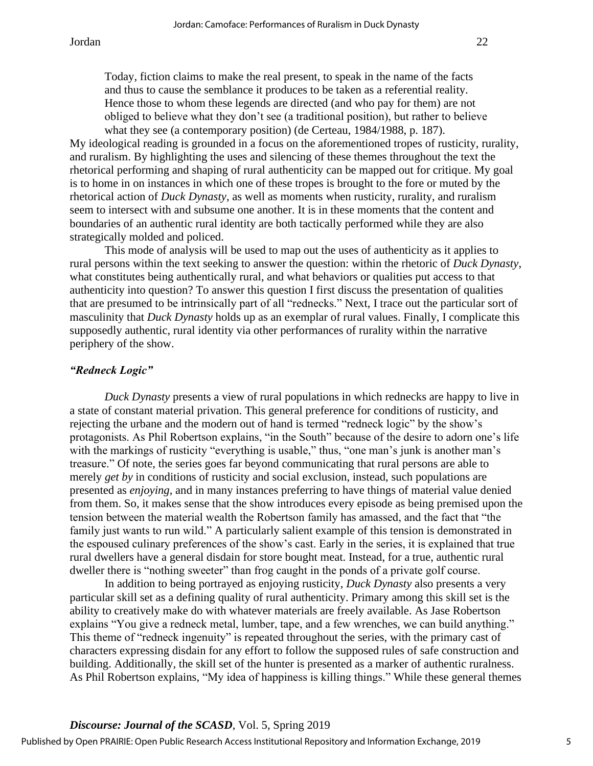My ideological reading is grounded in a focus on the aforementioned tropes of rusticity, rurality, and ruralism. By highlighting the uses and silencing of these themes throughout the text the rhetorical performing and shaping of rural authenticity can be mapped out for critique. My goal is to home in on instances in which one of these tropes is brought to the fore or muted by the rhetorical action of *Duck Dynasty*, as well as moments when rusticity, rurality, and ruralism seem to intersect with and subsume one another. It is in these moments that the content and boundaries of an authentic rural identity are both tactically performed while they are also strategically molded and policed.

This mode of analysis will be used to map out the uses of authenticity as it applies to rural persons within the text seeking to answer the question: within the rhetoric of *Duck Dynasty*, what constitutes being authentically rural, and what behaviors or qualities put access to that authenticity into question? To answer this question I first discuss the presentation of qualities that are presumed to be intrinsically part of all "rednecks." Next, I trace out the particular sort of masculinity that *Duck Dynasty* holds up as an exemplar of rural values. Finally, I complicate this supposedly authentic, rural identity via other performances of rurality within the narrative periphery of the show.

#### *"Redneck Logic"*

*Duck Dynasty* presents a view of rural populations in which rednecks are happy to live in a state of constant material privation. This general preference for conditions of rusticity, and rejecting the urbane and the modern out of hand is termed "redneck logic" by the show's protagonists. As Phil Robertson explains, "in the South" because of the desire to adorn one's life with the markings of rusticity "everything is usable," thus, "one man's junk is another man's treasure." Of note, the series goes far beyond communicating that rural persons are able to merely *get by* in conditions of rusticity and social exclusion, instead, such populations are presented as *enjoying*, and in many instances preferring to have things of material value denied from them. So, it makes sense that the show introduces every episode as being premised upon the tension between the material wealth the Robertson family has amassed, and the fact that "the family just wants to run wild." A particularly salient example of this tension is demonstrated in the espoused culinary preferences of the show's cast. Early in the series, it is explained that true rural dwellers have a general disdain for store bought meat. Instead, for a true, authentic rural dweller there is "nothing sweeter" than frog caught in the ponds of a private golf course.

In addition to being portrayed as enjoying rusticity, *Duck Dynasty* also presents a very particular skill set as a defining quality of rural authenticity. Primary among this skill set is the ability to creatively make do with whatever materials are freely available. As Jase Robertson explains "You give a redneck metal, lumber, tape, and a few wrenches, we can build anything." This theme of "redneck ingenuity" is repeated throughout the series, with the primary cast of characters expressing disdain for any effort to follow the supposed rules of safe construction and building. Additionally, the skill set of the hunter is presented as a marker of authentic ruralness. As Phil Robertson explains, "My idea of happiness is killing things." While these general themes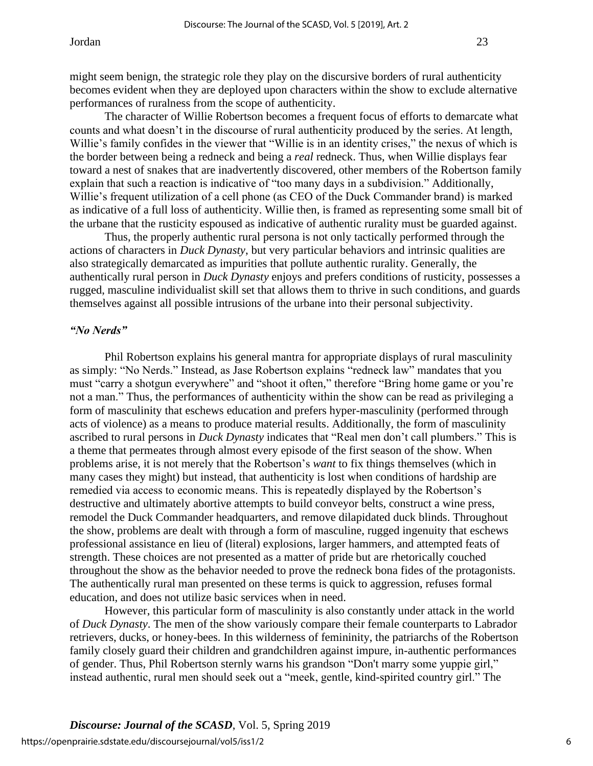might seem benign, the strategic role they play on the discursive borders of rural authenticity becomes evident when they are deployed upon characters within the show to exclude alternative performances of ruralness from the scope of authenticity.

The character of Willie Robertson becomes a frequent focus of efforts to demarcate what counts and what doesn't in the discourse of rural authenticity produced by the series. At length, Willie's family confides in the viewer that "Willie is in an identity crises," the nexus of which is the border between being a redneck and being a *real* redneck. Thus, when Willie displays fear toward a nest of snakes that are inadvertently discovered, other members of the Robertson family explain that such a reaction is indicative of "too many days in a subdivision." Additionally, Willie's frequent utilization of a cell phone (as CEO of the Duck Commander brand) is marked as indicative of a full loss of authenticity. Willie then, is framed as representing some small bit of the urbane that the rusticity espoused as indicative of authentic rurality must be guarded against.

Thus, the properly authentic rural persona is not only tactically performed through the actions of characters in *Duck Dynasty*, but very particular behaviors and intrinsic qualities are also strategically demarcated as impurities that pollute authentic rurality. Generally, the authentically rural person in *Duck Dynasty* enjoys and prefers conditions of rusticity, possesses a rugged, masculine individualist skill set that allows them to thrive in such conditions, and guards themselves against all possible intrusions of the urbane into their personal subjectivity.

## *"No Nerds"*

Phil Robertson explains his general mantra for appropriate displays of rural masculinity as simply: "No Nerds." Instead, as Jase Robertson explains "redneck law" mandates that you must "carry a shotgun everywhere" and "shoot it often," therefore "Bring home game or you're not a man." Thus, the performances of authenticity within the show can be read as privileging a form of masculinity that eschews education and prefers hyper-masculinity (performed through acts of violence) as a means to produce material results. Additionally, the form of masculinity ascribed to rural persons in *Duck Dynasty* indicates that "Real men don't call plumbers." This is a theme that permeates through almost every episode of the first season of the show. When problems arise, it is not merely that the Robertson's *want* to fix things themselves (which in many cases they might) but instead, that authenticity is lost when conditions of hardship are remedied via access to economic means. This is repeatedly displayed by the Robertson's destructive and ultimately abortive attempts to build conveyor belts, construct a wine press, remodel the Duck Commander headquarters, and remove dilapidated duck blinds. Throughout the show, problems are dealt with through a form of masculine, rugged ingenuity that eschews professional assistance en lieu of (literal) explosions, larger hammers, and attempted feats of strength. These choices are not presented as a matter of pride but are rhetorically couched throughout the show as the behavior needed to prove the redneck bona fides of the protagonists. The authentically rural man presented on these terms is quick to aggression, refuses formal education, and does not utilize basic services when in need.

However, this particular form of masculinity is also constantly under attack in the world of *Duck Dynasty*. The men of the show variously compare their female counterparts to Labrador retrievers, ducks, or honey-bees. In this wilderness of femininity, the patriarchs of the Robertson family closely guard their children and grandchildren against impure, in-authentic performances of gender. Thus, Phil Robertson sternly warns his grandson "Don't marry some yuppie girl," instead authentic, rural men should seek out a "meek, gentle, kind-spirited country girl." The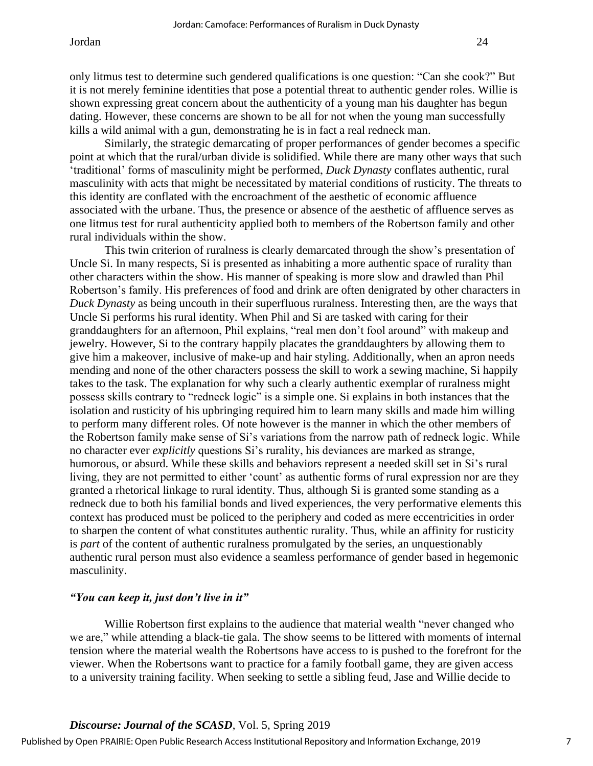only litmus test to determine such gendered qualifications is one question: "Can she cook?" But it is not merely feminine identities that pose a potential threat to authentic gender roles. Willie is shown expressing great concern about the authenticity of a young man his daughter has begun dating. However, these concerns are shown to be all for not when the young man successfully kills a wild animal with a gun, demonstrating he is in fact a real redneck man.

Similarly, the strategic demarcating of proper performances of gender becomes a specific point at which that the rural/urban divide is solidified. While there are many other ways that such 'traditional' forms of masculinity might be performed, *Duck Dynasty* conflates authentic, rural masculinity with acts that might be necessitated by material conditions of rusticity. The threats to this identity are conflated with the encroachment of the aesthetic of economic affluence associated with the urbane. Thus, the presence or absence of the aesthetic of affluence serves as one litmus test for rural authenticity applied both to members of the Robertson family and other rural individuals within the show.

This twin criterion of ruralness is clearly demarcated through the show's presentation of Uncle Si. In many respects, Si is presented as inhabiting a more authentic space of rurality than other characters within the show. His manner of speaking is more slow and drawled than Phil Robertson's family. His preferences of food and drink are often denigrated by other characters in *Duck Dynasty* as being uncouth in their superfluous ruralness. Interesting then, are the ways that Uncle Si performs his rural identity. When Phil and Si are tasked with caring for their granddaughters for an afternoon, Phil explains, "real men don't fool around" with makeup and jewelry. However, Si to the contrary happily placates the granddaughters by allowing them to give him a makeover, inclusive of make-up and hair styling. Additionally, when an apron needs mending and none of the other characters possess the skill to work a sewing machine, Si happily takes to the task. The explanation for why such a clearly authentic exemplar of ruralness might possess skills contrary to "redneck logic" is a simple one. Si explains in both instances that the isolation and rusticity of his upbringing required him to learn many skills and made him willing to perform many different roles. Of note however is the manner in which the other members of the Robertson family make sense of Si's variations from the narrow path of redneck logic. While no character ever *explicitly* questions Si's rurality, his deviances are marked as strange, humorous, or absurd. While these skills and behaviors represent a needed skill set in Si's rural living, they are not permitted to either 'count' as authentic forms of rural expression nor are they granted a rhetorical linkage to rural identity. Thus, although Si is granted some standing as a redneck due to both his familial bonds and lived experiences, the very performative elements this context has produced must be policed to the periphery and coded as mere eccentricities in order to sharpen the content of what constitutes authentic rurality. Thus, while an affinity for rusticity is *part* of the content of authentic ruralness promulgated by the series, an unquestionably authentic rural person must also evidence a seamless performance of gender based in hegemonic masculinity.

## *"You can keep it, just don't live in it"*

Willie Robertson first explains to the audience that material wealth "never changed who we are," while attending a black-tie gala. The show seems to be littered with moments of internal tension where the material wealth the Robertsons have access to is pushed to the forefront for the viewer. When the Robertsons want to practice for a family football game, they are given access to a university training facility. When seeking to settle a sibling feud, Jase and Willie decide to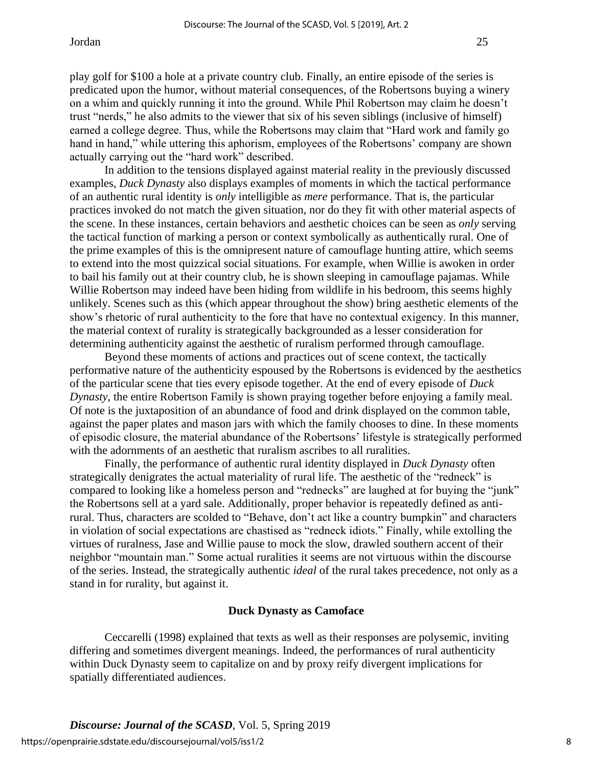trust "nerds," he also admits to the viewer that six of his seven siblings (inclusive of himself) earned a college degree. Thus, while the Robertsons may claim that "Hard work and family go hand in hand," while uttering this aphorism, employees of the Robertsons' company are shown actually carrying out the "hard work" described.

In addition to the tensions displayed against material reality in the previously discussed examples, *Duck Dynasty* also displays examples of moments in which the tactical performance of an authentic rural identity is *only* intelligible as *mere* performance. That is, the particular practices invoked do not match the given situation, nor do they fit with other material aspects of the scene. In these instances, certain behaviors and aesthetic choices can be seen as *only* serving the tactical function of marking a person or context symbolically as authentically rural. One of the prime examples of this is the omnipresent nature of camouflage hunting attire, which seems to extend into the most quizzical social situations. For example, when Willie is awoken in order to bail his family out at their country club, he is shown sleeping in camouflage pajamas. While Willie Robertson may indeed have been hiding from wildlife in his bedroom, this seems highly unlikely. Scenes such as this (which appear throughout the show) bring aesthetic elements of the show's rhetoric of rural authenticity to the fore that have no contextual exigency. In this manner, the material context of rurality is strategically backgrounded as a lesser consideration for determining authenticity against the aesthetic of ruralism performed through camouflage.

Beyond these moments of actions and practices out of scene context, the tactically performative nature of the authenticity espoused by the Robertsons is evidenced by the aesthetics of the particular scene that ties every episode together. At the end of every episode of *Duck Dynasty*, the entire Robertson Family is shown praying together before enjoying a family meal. Of note is the juxtaposition of an abundance of food and drink displayed on the common table, against the paper plates and mason jars with which the family chooses to dine. In these moments of episodic closure, the material abundance of the Robertsons' lifestyle is strategically performed with the adornments of an aesthetic that ruralism ascribes to all ruralities.

Finally, the performance of authentic rural identity displayed in *Duck Dynasty* often strategically denigrates the actual materiality of rural life. The aesthetic of the "redneck" is compared to looking like a homeless person and "rednecks" are laughed at for buying the "junk" the Robertsons sell at a yard sale. Additionally, proper behavior is repeatedly defined as antirural. Thus, characters are scolded to "Behave, don't act like a country bumpkin" and characters in violation of social expectations are chastised as "redneck idiots." Finally, while extolling the virtues of ruralness, Jase and Willie pause to mock the slow, drawled southern accent of their neighbor "mountain man." Some actual ruralities it seems are not virtuous within the discourse of the series. Instead, the strategically authentic *ideal* of the rural takes precedence, not only as a stand in for rurality, but against it.

#### **Duck Dynasty as Camoface**

Ceccarelli (1998) explained that texts as well as their responses are polysemic, inviting differing and sometimes divergent meanings. Indeed, the performances of rural authenticity within Duck Dynasty seem to capitalize on and by proxy reify divergent implications for spatially differentiated audiences.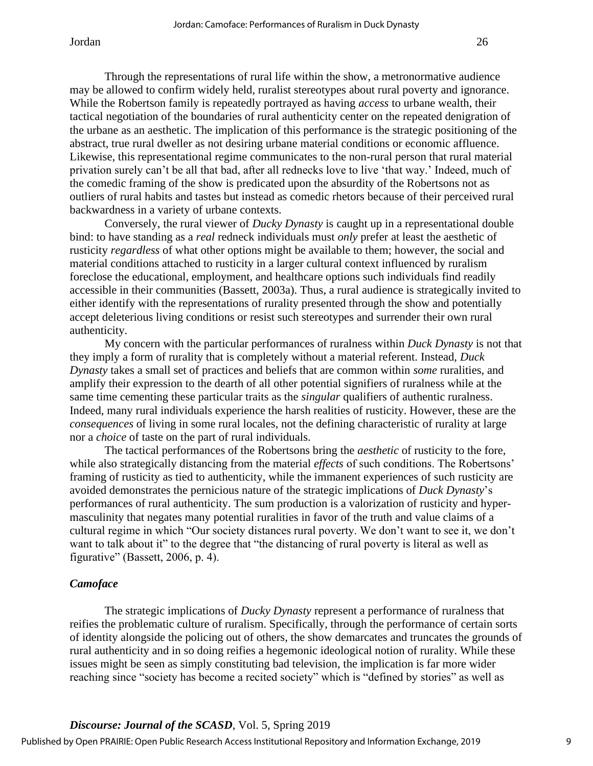Through the representations of rural life within the show, a metronormative audience may be allowed to confirm widely held, ruralist stereotypes about rural poverty and ignorance. While the Robertson family is repeatedly portrayed as having *access* to urbane wealth, their tactical negotiation of the boundaries of rural authenticity center on the repeated denigration of the urbane as an aesthetic. The implication of this performance is the strategic positioning of the abstract, true rural dweller as not desiring urbane material conditions or economic affluence. Likewise, this representational regime communicates to the non-rural person that rural material privation surely can't be all that bad, after all rednecks love to live 'that way.' Indeed, much of the comedic framing of the show is predicated upon the absurdity of the Robertsons not as outliers of rural habits and tastes but instead as comedic rhetors because of their perceived rural backwardness in a variety of urbane contexts.

Conversely, the rural viewer of *Ducky Dynasty* is caught up in a representational double bind: to have standing as a *real* redneck individuals must *only* prefer at least the aesthetic of rusticity *regardless* of what other options might be available to them; however, the social and material conditions attached to rusticity in a larger cultural context influenced by ruralism foreclose the educational, employment, and healthcare options such individuals find readily accessible in their communities (Bassett, 2003a). Thus, a rural audience is strategically invited to either identify with the representations of rurality presented through the show and potentially accept deleterious living conditions or resist such stereotypes and surrender their own rural authenticity.

My concern with the particular performances of ruralness within *Duck Dynasty* is not that they imply a form of rurality that is completely without a material referent. Instead, *Duck Dynasty* takes a small set of practices and beliefs that are common within *some* ruralities, and amplify their expression to the dearth of all other potential signifiers of ruralness while at the same time cementing these particular traits as the *singular* qualifiers of authentic ruralness. Indeed, many rural individuals experience the harsh realities of rusticity. However, these are the *consequences* of living in some rural locales, not the defining characteristic of rurality at large nor a *choice* of taste on the part of rural individuals.

The tactical performances of the Robertsons bring the *aesthetic* of rusticity to the fore, while also strategically distancing from the material *effects* of such conditions. The Robertsons' framing of rusticity as tied to authenticity, while the immanent experiences of such rusticity are avoided demonstrates the pernicious nature of the strategic implications of *Duck Dynasty*'s performances of rural authenticity. The sum production is a valorization of rusticity and hypermasculinity that negates many potential ruralities in favor of the truth and value claims of a cultural regime in which "Our society distances rural poverty. We don't want to see it, we don't want to talk about it" to the degree that "the distancing of rural poverty is literal as well as figurative" (Bassett, 2006, p. 4).

## *Camoface*

The strategic implications of *Ducky Dynasty* represent a performance of ruralness that reifies the problematic culture of ruralism. Specifically, through the performance of certain sorts of identity alongside the policing out of others, the show demarcates and truncates the grounds of rural authenticity and in so doing reifies a hegemonic ideological notion of rurality. While these issues might be seen as simply constituting bad television, the implication is far more wider reaching since "society has become a recited society" which is "defined by stories" as well as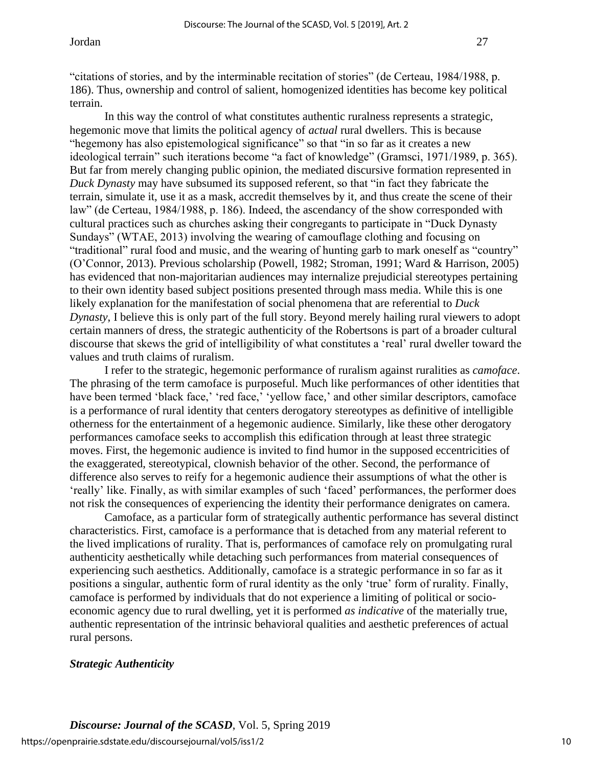"citations of stories, and by the interminable recitation of stories" (de Certeau, 1984/1988, p. 186). Thus, ownership and control of salient, homogenized identities has become key political terrain.

In this way the control of what constitutes authentic ruralness represents a strategic, hegemonic move that limits the political agency of *actual* rural dwellers. This is because "hegemony has also epistemological significance" so that "in so far as it creates a new ideological terrain" such iterations become "a fact of knowledge" (Gramsci, 1971/1989, p. 365). But far from merely changing public opinion, the mediated discursive formation represented in *Duck Dynasty* may have subsumed its supposed referent, so that "in fact they fabricate the terrain, simulate it, use it as a mask, accredit themselves by it, and thus create the scene of their law" (de Certeau, 1984/1988, p. 186). Indeed, the ascendancy of the show corresponded with cultural practices such as churches asking their congregants to participate in "Duck Dynasty Sundays" (WTAE, 2013) involving the wearing of camouflage clothing and focusing on "traditional" rural food and music, and the wearing of hunting garb to mark oneself as "country" (O'Connor, 2013). Previous scholarship (Powell, 1982; Stroman, 1991; Ward & Harrison, 2005) has evidenced that non-majoritarian audiences may internalize prejudicial stereotypes pertaining to their own identity based subject positions presented through mass media. While this is one likely explanation for the manifestation of social phenomena that are referential to *Duck Dynasty*, I believe this is only part of the full story. Beyond merely hailing rural viewers to adopt certain manners of dress, the strategic authenticity of the Robertsons is part of a broader cultural discourse that skews the grid of intelligibility of what constitutes a 'real' rural dweller toward the values and truth claims of ruralism.

I refer to the strategic, hegemonic performance of ruralism against ruralities as *camoface*. The phrasing of the term camoface is purposeful. Much like performances of other identities that have been termed 'black face,' 'red face,' 'yellow face,' and other similar descriptors, camoface is a performance of rural identity that centers derogatory stereotypes as definitive of intelligible otherness for the entertainment of a hegemonic audience. Similarly, like these other derogatory performances camoface seeks to accomplish this edification through at least three strategic moves. First, the hegemonic audience is invited to find humor in the supposed eccentricities of the exaggerated, stereotypical, clownish behavior of the other. Second, the performance of difference also serves to reify for a hegemonic audience their assumptions of what the other is 'really' like. Finally, as with similar examples of such 'faced' performances, the performer does not risk the consequences of experiencing the identity their performance denigrates on camera.

Camoface, as a particular form of strategically authentic performance has several distinct characteristics. First, camoface is a performance that is detached from any material referent to the lived implications of rurality. That is, performances of camoface rely on promulgating rural authenticity aesthetically while detaching such performances from material consequences of experiencing such aesthetics. Additionally, camoface is a strategic performance in so far as it positions a singular, authentic form of rural identity as the only 'true' form of rurality. Finally, camoface is performed by individuals that do not experience a limiting of political or socioeconomic agency due to rural dwelling, yet it is performed *as indicative* of the materially true, authentic representation of the intrinsic behavioral qualities and aesthetic preferences of actual rural persons.

## *Strategic Authenticity*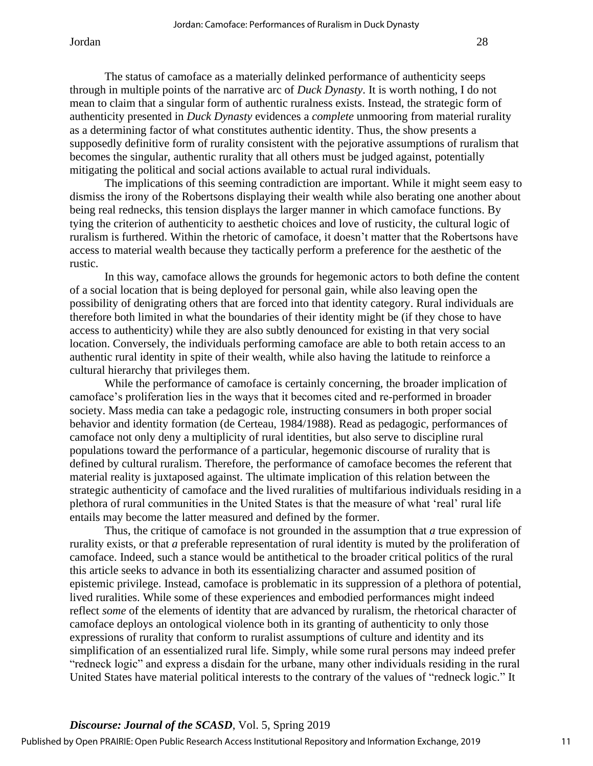The status of camoface as a materially delinked performance of authenticity seeps through in multiple points of the narrative arc of *Duck Dynasty*. It is worth nothing, I do not mean to claim that a singular form of authentic ruralness exists. Instead, the strategic form of authenticity presented in *Duck Dynasty* evidences a *complete* unmooring from material rurality as a determining factor of what constitutes authentic identity. Thus, the show presents a supposedly definitive form of rurality consistent with the pejorative assumptions of ruralism that becomes the singular, authentic rurality that all others must be judged against, potentially mitigating the political and social actions available to actual rural individuals.

The implications of this seeming contradiction are important. While it might seem easy to dismiss the irony of the Robertsons displaying their wealth while also berating one another about being real rednecks, this tension displays the larger manner in which camoface functions. By tying the criterion of authenticity to aesthetic choices and love of rusticity, the cultural logic of ruralism is furthered. Within the rhetoric of camoface, it doesn't matter that the Robertsons have access to material wealth because they tactically perform a preference for the aesthetic of the rustic.

In this way, camoface allows the grounds for hegemonic actors to both define the content of a social location that is being deployed for personal gain, while also leaving open the possibility of denigrating others that are forced into that identity category. Rural individuals are therefore both limited in what the boundaries of their identity might be (if they chose to have access to authenticity) while they are also subtly denounced for existing in that very social location. Conversely, the individuals performing camoface are able to both retain access to an authentic rural identity in spite of their wealth, while also having the latitude to reinforce a cultural hierarchy that privileges them.

While the performance of camoface is certainly concerning, the broader implication of camoface's proliferation lies in the ways that it becomes cited and re-performed in broader society. Mass media can take a pedagogic role, instructing consumers in both proper social behavior and identity formation (de Certeau, 1984/1988). Read as pedagogic, performances of camoface not only deny a multiplicity of rural identities, but also serve to discipline rural populations toward the performance of a particular, hegemonic discourse of rurality that is defined by cultural ruralism. Therefore, the performance of camoface becomes the referent that material reality is juxtaposed against. The ultimate implication of this relation between the strategic authenticity of camoface and the lived ruralities of multifarious individuals residing in a plethora of rural communities in the United States is that the measure of what 'real' rural life entails may become the latter measured and defined by the former.

Thus, the critique of camoface is not grounded in the assumption that *a* true expression of rurality exists, or that *a* preferable representation of rural identity is muted by the proliferation of camoface. Indeed, such a stance would be antithetical to the broader critical politics of the rural this article seeks to advance in both its essentializing character and assumed position of epistemic privilege. Instead, camoface is problematic in its suppression of a plethora of potential, lived ruralities. While some of these experiences and embodied performances might indeed reflect *some* of the elements of identity that are advanced by ruralism, the rhetorical character of camoface deploys an ontological violence both in its granting of authenticity to only those expressions of rurality that conform to ruralist assumptions of culture and identity and its simplification of an essentialized rural life. Simply, while some rural persons may indeed prefer "redneck logic" and express a disdain for the urbane, many other individuals residing in the rural United States have material political interests to the contrary of the values of "redneck logic." It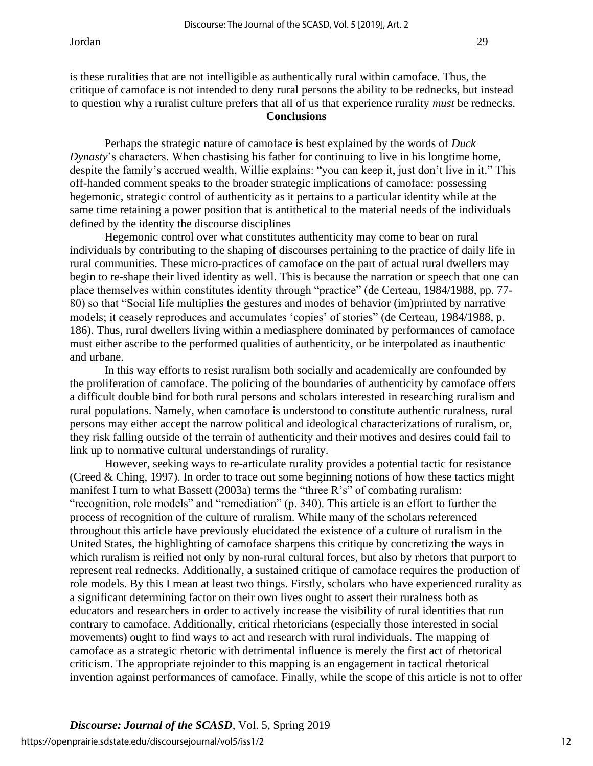is these ruralities that are not intelligible as authentically rural within camoface. Thus, the critique of camoface is not intended to deny rural persons the ability to be rednecks, but instead to question why a ruralist culture prefers that all of us that experience rurality *must* be rednecks. **Conclusions**

Perhaps the strategic nature of camoface is best explained by the words of *Duck Dynasty*'s characters. When chastising his father for continuing to live in his longtime home, despite the family's accrued wealth, Willie explains: "you can keep it, just don't live in it." This off-handed comment speaks to the broader strategic implications of camoface: possessing hegemonic, strategic control of authenticity as it pertains to a particular identity while at the same time retaining a power position that is antithetical to the material needs of the individuals defined by the identity the discourse disciplines

Hegemonic control over what constitutes authenticity may come to bear on rural individuals by contributing to the shaping of discourses pertaining to the practice of daily life in rural communities. These micro-practices of camoface on the part of actual rural dwellers may begin to re-shape their lived identity as well. This is because the narration or speech that one can place themselves within constitutes identity through "practice" (de Certeau, 1984/1988, pp. 77- 80) so that "Social life multiplies the gestures and modes of behavior (im)printed by narrative models; it ceasely reproduces and accumulates 'copies' of stories" (de Certeau, 1984/1988, p. 186). Thus, rural dwellers living within a mediasphere dominated by performances of camoface must either ascribe to the performed qualities of authenticity, or be interpolated as inauthentic and urbane.

In this way efforts to resist ruralism both socially and academically are confounded by the proliferation of camoface. The policing of the boundaries of authenticity by camoface offers a difficult double bind for both rural persons and scholars interested in researching ruralism and rural populations. Namely, when camoface is understood to constitute authentic ruralness, rural persons may either accept the narrow political and ideological characterizations of ruralism, or, they risk falling outside of the terrain of authenticity and their motives and desires could fail to link up to normative cultural understandings of rurality.

However, seeking ways to re-articulate rurality provides a potential tactic for resistance (Creed & Ching, 1997). In order to trace out some beginning notions of how these tactics might manifest I turn to what Bassett (2003a) terms the "three R's" of combating ruralism: "recognition, role models" and "remediation" (p. 340). This article is an effort to further the process of recognition of the culture of ruralism. While many of the scholars referenced throughout this article have previously elucidated the existence of a culture of ruralism in the United States, the highlighting of camoface sharpens this critique by concretizing the ways in which ruralism is reified not only by non-rural cultural forces, but also by rhetors that purport to represent real rednecks. Additionally, a sustained critique of camoface requires the production of role models. By this I mean at least two things. Firstly, scholars who have experienced rurality as a significant determining factor on their own lives ought to assert their ruralness both as educators and researchers in order to actively increase the visibility of rural identities that run contrary to camoface. Additionally, critical rhetoricians (especially those interested in social movements) ought to find ways to act and research with rural individuals. The mapping of camoface as a strategic rhetoric with detrimental influence is merely the first act of rhetorical criticism. The appropriate rejoinder to this mapping is an engagement in tactical rhetorical invention against performances of camoface. Finally, while the scope of this article is not to offer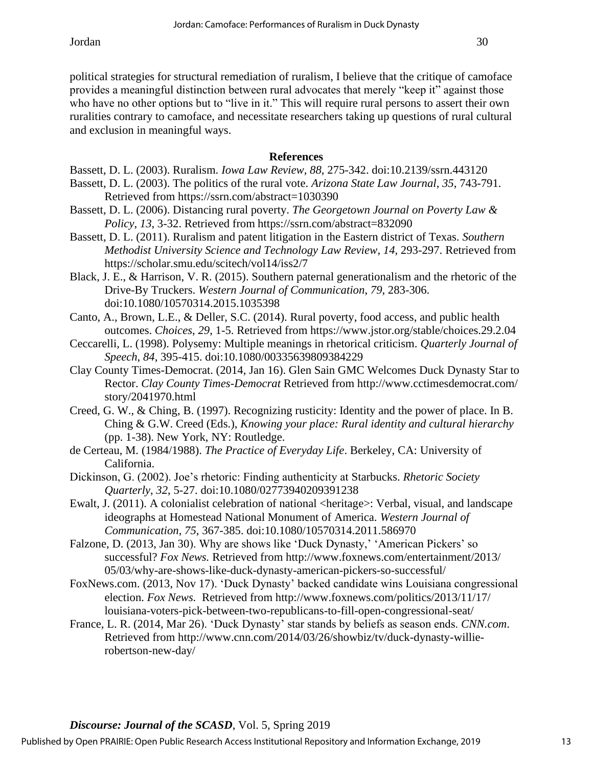political strategies for structural remediation of ruralism, I believe that the critique of camoface provides a meaningful distinction between rural advocates that merely "keep it" against those who have no other options but to "live in it." This will require rural persons to assert their own ruralities contrary to camoface, and necessitate researchers taking up questions of rural cultural and exclusion in meaningful ways.

## **References**

- Bassett, D. L. (2003). Ruralism. *Iowa Law Review*, *88*, 275-342. doi:10.2139/ssrn.443120
- Bassett, D. L. (2003). The politics of the rural vote. *Arizona State Law Journal, 35*, 743-791. Retrieved from https://ssrn.com/abstract=1030390
- Bassett, D. L. (2006). Distancing rural poverty. *The Georgetown Journal on Poverty Law & Policy*, *13*, 3-32. Retrieved from https://ssrn.com/abstract=832090
- Bassett, D. L. (2011). Ruralism and patent litigation in the Eastern district of Texas. *Southern Methodist University Science and Technology Law Review*, *14*, 293-297. Retrieved from https://scholar.smu.edu/scitech/vol14/iss2/7
- Black, J. E., & Harrison, V. R. (2015). Southern paternal generationalism and the rhetoric of the Drive-By Truckers. *Western Journal of Communication*, *79*, 283-306. doi:10.1080/10570314.2015.1035398
- Canto, A., Brown, L.E., & Deller, S.C. (2014). Rural poverty, food access, and public health outcomes. *Choices*, *29*, 1-5. Retrieved from https://www.jstor.org/stable/choices.29.2.04
- Ceccarelli, L. (1998). Polysemy: Multiple meanings in rhetorical criticism. *Quarterly Journal of Speech*, *84*, 395-415. doi:10.1080/00335639809384229
- Clay County Times-Democrat. (2014, Jan 16). Glen Sain GMC Welcomes Duck Dynasty Star to Rector. *Clay County Times-Democrat* Retrieved from http://www.cctimesdemocrat.com/ story/2041970.html
- Creed, G. W., & Ching, B. (1997). Recognizing rusticity: Identity and the power of place. In B. Ching & G.W. Creed (Eds.), *Knowing your place: Rural identity and cultural hierarchy* (pp. 1-38). New York, NY: Routledge.
- de Certeau, M. (1984/1988). *The Practice of Everyday Life*. Berkeley, CA: University of California.
- Dickinson, G. (2002). Joe's rhetoric: Finding authenticity at Starbucks. *Rhetoric Society Quarterly*, *32*, 5-27. doi:10.1080/02773940209391238
- Ewalt, J. (2011). A colonialist celebration of national <heritage>: Verbal, visual, and landscape ideographs at Homestead National Monument of America. *Western Journal of Communication*, *75*, 367-385. doi:10.1080/10570314.2011.586970
- Falzone, D. (2013, Jan 30). Why are shows like 'Duck Dynasty,' 'American Pickers' so successful? *Fox News.* Retrieved from http://www.foxnews.com/entertainment/2013/ 05/03/why-are-shows-like-duck-dynasty-american-pickers-so-successful/
- FoxNews.com. (2013, Nov 17). 'Duck Dynasty' backed candidate wins Louisiana congressional election. *Fox News.* Retrieved from http://www.foxnews.com/politics/2013/11/17/ louisiana-voters-pick-between-two-republicans-to-fill-open-congressional-seat/
- France, L. R. (2014, Mar 26). 'Duck Dynasty' star stands by beliefs as season ends. *CNN.com*. Retrieved from http://www.cnn.com/2014/03/26/showbiz/tv/duck-dynasty-willierobertson-new-day/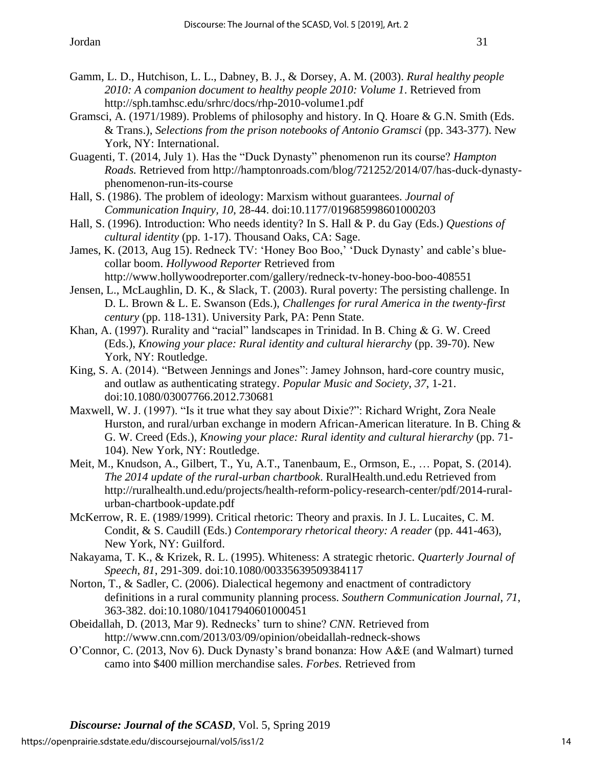- Gamm, L. D., Hutchison, L. L., Dabney, B. J., & Dorsey, A. M. (2003). *Rural healthy people 2010: A companion document to healthy people 2010: Volume 1*. Retrieved from http://sph.tamhsc.edu/srhrc/docs/rhp-2010-volume1.pdf
- Gramsci, A. (1971/1989). Problems of philosophy and history. In Q. Hoare & G.N. Smith (Eds. & Trans.), *Selections from the prison notebooks of Antonio Gramsci* (pp. 343-377). New York, NY: International.
- Guagenti, T. (2014, July 1). Has the "Duck Dynasty" phenomenon run its course? *Hampton Roads.* Retrieved from http://hamptonroads.com/blog/721252/2014/07/has-duck-dynastyphenomenon-run-its-course
- Hall, S. (1986). The problem of ideology: Marxism without guarantees. *Journal of Communication Inquiry, 10*, 28-44. doi:10.1177/019685998601000203
- Hall, S. (1996). Introduction: Who needs identity? In S. Hall & P. du Gay (Eds.) *Questions of cultural identity* (pp. 1-17). Thousand Oaks, CA: Sage.
- James, K. (2013, Aug 15). Redneck TV: 'Honey Boo Boo,' 'Duck Dynasty' and cable's bluecollar boom. *Hollywood Reporter* Retrieved from http://www.hollywoodreporter.com/gallery/redneck-tv-honey-boo-boo-408551
- Jensen, L., McLaughlin, D. K., & Slack, T. (2003). Rural poverty: The persisting challenge. In D. L. Brown & L. E. Swanson (Eds.), *Challenges for rural America in the twenty-first century* (pp. 118-131). University Park, PA: Penn State.
- Khan, A. (1997). Rurality and "racial" landscapes in Trinidad. In B. Ching & G. W. Creed (Eds.), *Knowing your place: Rural identity and cultural hierarchy* (pp. 39-70). New York, NY: Routledge.
- King, S. A. (2014). "Between Jennings and Jones": Jamey Johnson, hard-core country music, and outlaw as authenticating strategy. *Popular Music and Society*, *37*, 1-21. doi:10.1080/03007766.2012.730681
- Maxwell, W. J. (1997). "Is it true what they say about Dixie?": Richard Wright, Zora Neale Hurston, and rural/urban exchange in modern African-American literature. In B. Ching & G. W. Creed (Eds.), *Knowing your place: Rural identity and cultural hierarchy* (pp. 71- 104). New York, NY: Routledge.
- Meit, M., Knudson, A., Gilbert, T., Yu, A.T., Tanenbaum, E., Ormson, E., … Popat, S. (2014). *The 2014 update of the rural-urban chartbook*. RuralHealth.und.edu Retrieved from http://ruralhealth.und.edu/projects/health-reform-policy-research-center/pdf/2014-ruralurban-chartbook-update.pdf
- McKerrow, R. E. (1989/1999). Critical rhetoric: Theory and praxis. In J. L. Lucaites, C. M. Condit, & S. Caudill (Eds.) *Contemporary rhetorical theory: A reader* (pp. 441-463), New York, NY: Guilford.
- Nakayama, T. K., & Krizek, R. L. (1995). Whiteness: A strategic rhetoric. *Quarterly Journal of Speech*, *81*, 291-309. doi:10.1080/00335639509384117
- Norton, T., & Sadler, C. (2006). Dialectical hegemony and enactment of contradictory definitions in a rural community planning process. *Southern Communication Journal*, *71*, 363-382. doi:10.1080/10417940601000451
- Obeidallah, D. (2013, Mar 9). Rednecks' turn to shine? *CNN.* Retrieved from http://www.cnn.com/2013/03/09/opinion/obeidallah-redneck-shows
- O'Connor, C. (2013, Nov 6). Duck Dynasty's brand bonanza: How A&E (and Walmart) turned camo into \$400 million merchandise sales. *Forbes.* Retrieved from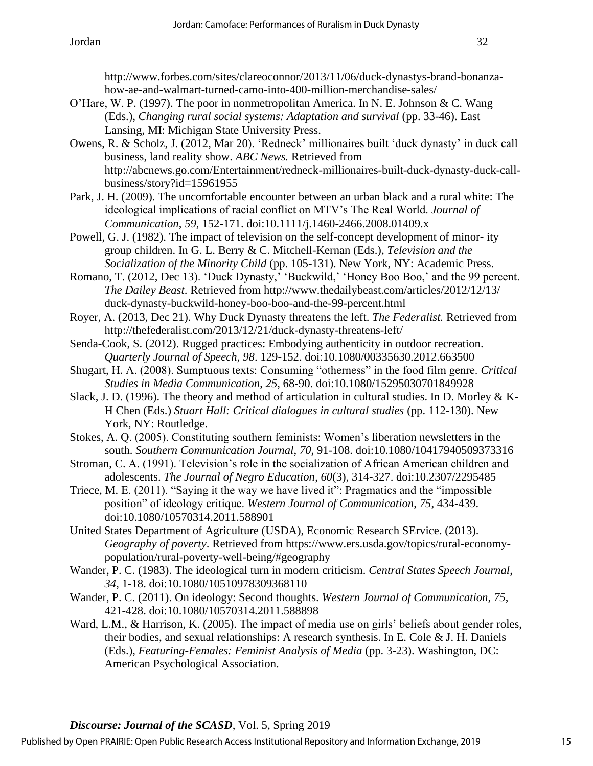- O'Hare, W. P. (1997). The poor in nonmetropolitan America. In N. E. Johnson & C. Wang (Eds.), *Changing rural social systems: Adaptation and survival* (pp. 33-46). East Lansing, MI: Michigan State University Press.
- Owens, R. & Scholz, J. (2012, Mar 20). 'Redneck' millionaires built 'duck dynasty' in duck call business, land reality show. *ABC News.* Retrieved from http://abcnews.go.com/Entertainment/redneck-millionaires-built-duck-dynasty-duck-callbusiness/story?id=15961955
- Park, J. H. (2009). The uncomfortable encounter between an urban black and a rural white: The ideological implications of racial conflict on MTV's The Real World. *Journal of Communication*, *59*, 152-171. doi:10.1111/j.1460-2466.2008.01409.x
- Powell, G. J. (1982). The impact of television on the self-concept development of minor- ity group children. In G. L. Berry & C. Mitchell-Kernan (Eds.), *Television and the Socialization of the Minority Child* (pp. 105-131). New York, NY: Academic Press.
- Romano, T. (2012, Dec 13). 'Duck Dynasty,' 'Buckwild,' 'Honey Boo Boo,' and the 99 percent. *The Dailey Beast*. Retrieved from http://www.thedailybeast.com/articles/2012/12/13/ duck-dynasty-buckwild-honey-boo-boo-and-the-99-percent.html
- Royer, A. (2013, Dec 21). Why Duck Dynasty threatens the left. *The Federalist.* Retrieved from http://thefederalist.com/2013/12/21/duck-dynasty-threatens-left/
- Senda-Cook, S. (2012). Rugged practices: Embodying authenticity in outdoor recreation. *Quarterly Journal of Speech*, *98*. 129-152. doi:10.1080/00335630.2012.663500
- Shugart, H. A. (2008). Sumptuous texts: Consuming "otherness" in the food film genre. *Critical Studies in Media Communication*, *25*, 68-90. doi:10.1080/15295030701849928
- Slack, J. D. (1996). The theory and method of articulation in cultural studies. In D. Morley & K-H Chen (Eds.) *Stuart Hall: Critical dialogues in cultural studies* (pp. 112-130). New York, NY: Routledge.
- Stokes, A. Q. (2005). Constituting southern feminists: Women's liberation newsletters in the south. *Southern Communication Journal*, *70*, 91-108. doi:10.1080/10417940509373316
- Stroman, C. A. (1991). Television's role in the socialization of African American children and adolescents. *The Journal of Negro Education*, *60*(3), 314-327. doi:10.2307/2295485
- Triece, M. E. (2011). "Saying it the way we have lived it": Pragmatics and the "impossible position" of ideology critique. *Western Journal of Communication*, *75*, 434-439. doi:10.1080/10570314.2011.588901
- United States Department of Agriculture (USDA), Economic Research SErvice. (2013). *Geography of poverty*. Retrieved from https://www.ers.usda.gov/topics/rural-economypopulation/rural-poverty-well-being/#geography
- Wander, P. C. (1983). The ideological turn in modern criticism. *Central States Speech Journal*, *34*, 1-18. doi:10.1080/10510978309368110
- Wander, P. C. (2011). On ideology: Second thoughts. *Western Journal of Communication*, *75*, 421-428. doi:10.1080/10570314.2011.588898
- Ward, L.M., & Harrison, K. (2005). The impact of media use on girls' beliefs about gender roles, their bodies, and sexual relationships: A research synthesis. In E. Cole & J. H. Daniels (Eds.), *Featuring-Females: Feminist Analysis of Media* (pp. 3-23). Washington, DC: American Psychological Association.